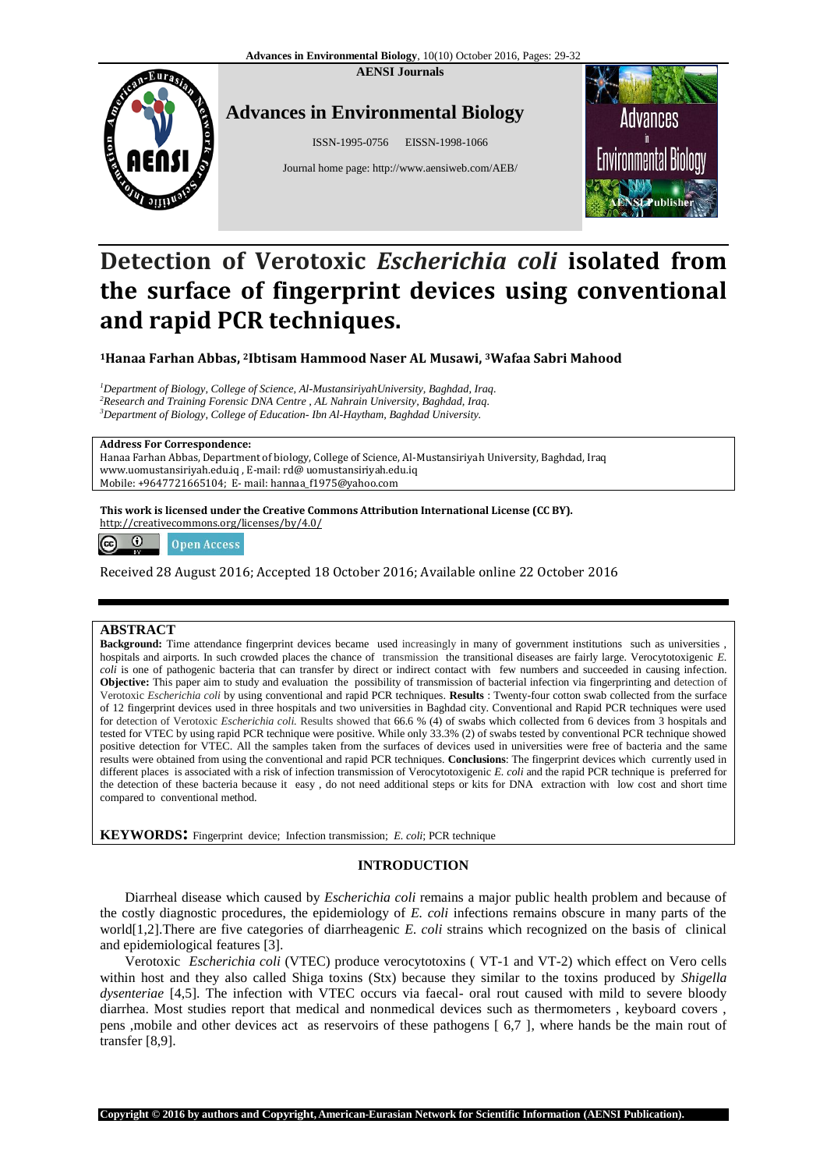**AENSI Journals**



## **Advances in Environmental Biology**

ISSN-1995-0756 EISSN-1998-1066

Journal home page[: http://www.aensiweb.com/AEB/](http://www.aensiweb.com/aeb.html)



# **Detection of Verotoxic** *Escherichia coli* **isolated from the surface of fingerprint devices using conventional and rapid PCR techniques.**

**<sup>1</sup>Hanaa Farhan Abbas, 2Ibtisam Hammood Naser AL Musawi, 3Wafaa Sabri Mahood**

*<sup>1</sup>Department of Biology, College of Science, Al-MustansiriyahUniversity, Baghdad, Iraq. <sup>2</sup>Research and Training Forensic DNA Centre , AL Nahrain University, Baghdad, Iraq. <sup>3</sup>Department of Biology, College of Education- Ibn Al-Haytham, Baghdad University.*

#### **Address For Correspondence:**

Hanaa Farhan Abbas, Department of biology, College of Science, Al-Mustansiriyah University, Baghdad, Iraq www.uomustansiriyah.edu.iq , E-mail: rd@ uomustansiriyah.edu.iq Mobile: +9647721665104; E- mail: hannaa\_f1975@yahoo.com

**This work is licensed under the Creative Commons Attribution International License (CC BY).** http://creativecommons.org/licenses/by/4.0/



Received 28 August 2016; Accepted 18 October 2016; Available online 22 October 2016

## **ABSTRACT**

**Background:** Time attendance fingerprint devices became used increasingly in many of government institutions such as universities , hospitals and airports. In such crowded places the chance of transmission the transitional diseases are fairly large. Verocytotoxigenic *E. coli* is one of pathogenic bacteria that can transfer by direct or indirect contact with few numbers and succeeded in causing infection. **Objective:** This paper aim to study and evaluation the possibility of transmission of bacterial infection via fingerprinting and detection of Verotoxic *Escherichia coli* by using conventional and rapid PCR techniques. **Results** : Twenty-four cotton swab collected from the surface of 12 fingerprint devices used in three hospitals and two universities in Baghdad city. Conventional and Rapid PCR techniques were used for detection of Verotoxic *Escherichia coli.* Results showed that 66.6 % (4) of swabs which collected from 6 devices from 3 hospitals and tested for VTEC by using rapid PCR technique were positive. While only 33.3% (2) of swabs tested by conventional PCR technique showed positive detection for VTEC. All the samples taken from the surfaces of devices used in universities were free of bacteria and the same results were obtained from using the conventional and rapid PCR techniques. **Conclusions**: The fingerprint devices which currently used in different places is associated with a risk of infection transmission of Verocytotoxigenic *E. coli* and the rapid PCR technique is preferred for the detection of these bacteria because it easy , do not need additional steps or kits for DNA extraction with low cost and short time compared to conventional method.

**KEYWORDS:** Fingerprint device; Infection transmission; *E. coli*; PCR technique

## **INTRODUCTION**

Diarrheal disease which caused by *Escherichia coli* remains a major public health problem and because of the costly diagnostic procedures, the epidemiology of *E. coli* infections remains obscure in many parts of the world[1,2].There are five categories of diarrheagenic *E. coli* strains which recognized on the basis of clinical and epidemiological features [3].

Verotoxic *Escherichia coli* (VTEC) produce verocytotoxins ( VT-1 and VT-2) which effect on Vero cells within host and they also called Shiga toxins (Stx) because they similar to the toxins produced by *Shigella dysenteriae* [4,5]. The infection with VTEC occurs via faecal- oral rout caused with mild to severe bloody diarrhea. Most studies report that medical and nonmedical devices such as thermometers , keyboard covers , pens ,mobile and other devices act as reservoirs of these pathogens [ 6,7 ], where hands be the main rout of transfer [8,9].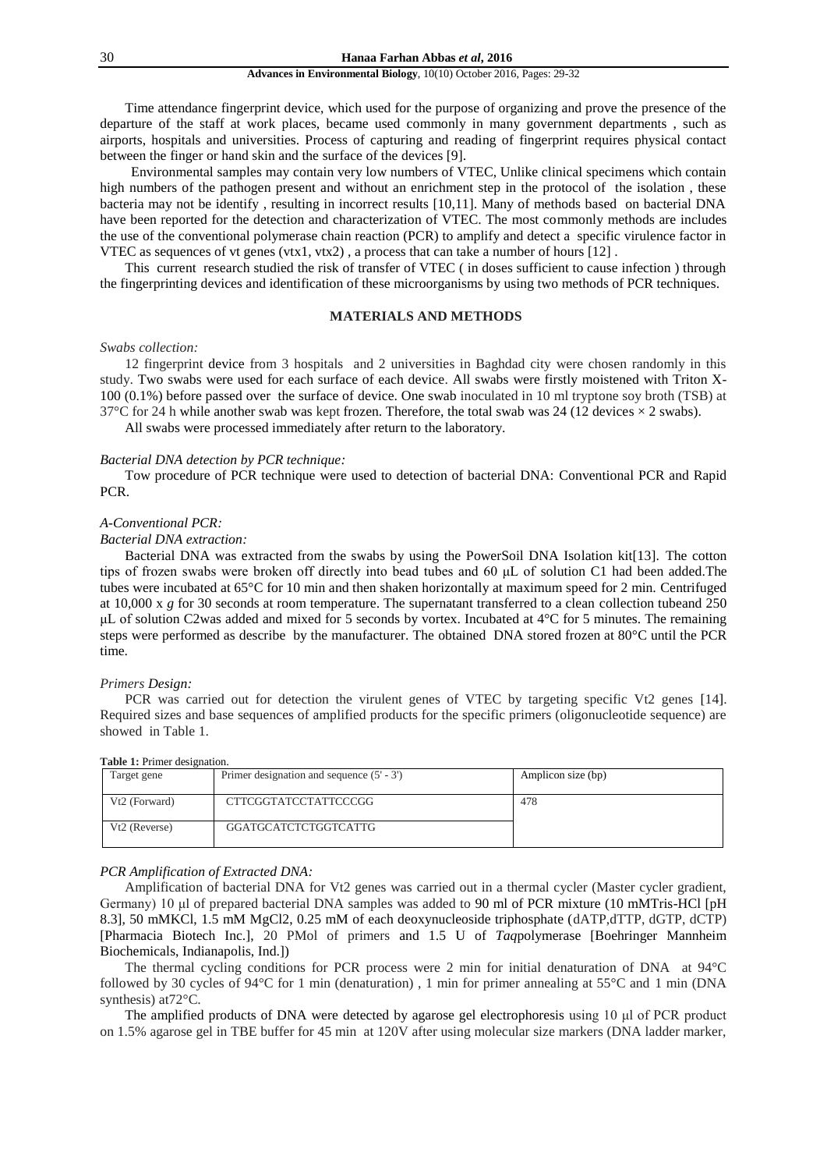#### **Advances in Environmental Biology**, 10(10) October 2016, Pages: 29-32

Time attendance fingerprint device, which used for the purpose of organizing and prove the presence of the departure of the staff at work places, became used commonly in many government departments , such as airports, hospitals and universities. Process of capturing and reading of fingerprint requires physical contact between the finger or hand skin and the surface of the devices [9].

"Environmental samples may contain very low numbers of VTEC, Unlike clinical specimens which contain high numbers of the pathogen present and without an enrichment step in the protocol of the isolation , these bacteria may not be identify , resulting in incorrect results [10,11]. Many of methods based on bacterial DNA have been reported for the detection and characterization of VTEC. The most commonly methods are includes the use of the conventional polymerase chain reaction (PCR) to amplify and detect a specific virulence factor in VTEC as sequences of vt genes (vtx1, vtx2), a process that can take a number of hours  $[12]$ .

This current research studied the risk of transfer of VTEC ( in doses sufficient to cause infection ) through the fingerprinting devices and identification of these microorganisms by using two methods of PCR techniques."

## **MATERIALS AND METHODS**

#### *Swabs collection:*

12 fingerprint device from 3 hospitals and 2 universities in Baghdad city were chosen randomly in this study. Two swabs were used for each surface of each device. All swabs were firstly moistened with Triton X-100 (0.1%) before passed over the surface of device. One swab inoculated in 10 ml tryptone soy broth (TSB) at 37°C for 24 h while another swab was kept frozen. Therefore, the total swab was 24 (12 devices  $\times$  2 swabs).

All swabs were processed immediately after return to the laboratory.

#### *Bacterial DNA detection by PCR technique:*

Tow procedure of PCR technique were used to detection of bacterial DNA: Conventional PCR and Rapid PCR.

## *A-Conventional PCR:*

## *Bacterial DNA extraction:*

Bacterial DNA was extracted from the swabs by using the PowerSoil DNA Isolation kit<sup>[13]</sup>. The cotton tips of frozen swabs were broken off directly into bead tubes and 60 μL of solution C1 had been added.The tubes were incubated at 65°C for 10 min and then shaken horizontally at maximum speed for 2 min. Centrifuged at 10,000 x *g* for 30 seconds at room temperature. The supernatant transferred to a clean collection tubeand 250 μL of solution C2was added and mixed for 5 seconds by vortex. Incubated at  $4^{\circ}$ C for 5 minutes. The remaining steps were performed as describe by the manufacturer. The obtained DNA stored frozen at 80°C until the PCR time.

#### *Primers Design:*

PCR was carried out for detection the virulent genes of VTEC by targeting specific Vt2 genes [14]. Required sizes and base sequences of amplified products for the specific primers (oligonucleotide sequence) are showed in Table 1.

| Target gene   | Primer designation and sequence $(5' - 3')$ | Amplicon size (bp) |
|---------------|---------------------------------------------|--------------------|
| Vt2 (Forward) | CTTCGGTATCCTATTCCCGG                        | 478                |
| Vt2 (Reverse) | GGATGCATCTCTGGTCATTG                        |                    |

#### **Table 1:** Primer designation.

### *PCR Amplification of Extracted DNA:*

Amplification of bacterial DNA for Vt2 genes was carried out in a thermal cycler (Master cycler gradient, Germany) 10 μl of prepared bacterial DNA samples was added to 90 ml of PCR mixture (10 mMTris-HCl [pH 8.3], 50 mMKCl, 1.5 mM MgCl2, 0.25 mM of each deoxynucleoside triphosphate (dATP,dTTP, dGTP, dCTP) [Pharmacia Biotech Inc.], 20 PMol of primers and 1.5 U of *Taq*polymerase [Boehringer Mannheim Biochemicals, Indianapolis, Ind.])

The thermal cycling conditions for PCR process were 2 min for initial denaturation of DNA at 94°C followed by 30 cycles of 94°C for 1 min (denaturation) , 1 min for primer annealing at 55°C and 1 min (DNA synthesis) at72°C.

The amplified products of DNA were detected by agarose gel electrophoresis using 10 μl of PCR product on 1.5% agarose gel in TBE buffer for 45 min at 120V after using molecular size markers (DNA ladder marker,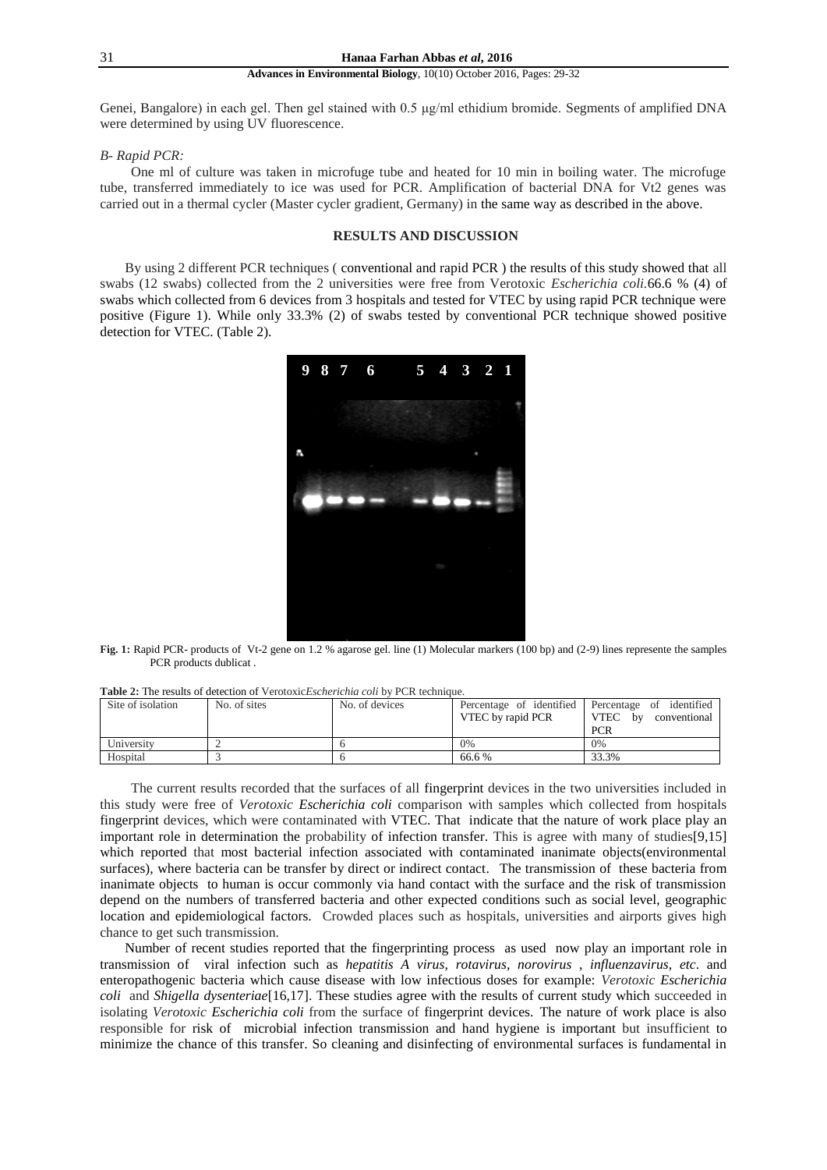#### 31 **Hanaa Farhan Abbas** *et al***, 2016**

#### **Advances in Environmental Biology**, 10(10) October 2016, Pages: 29-32

Genei, Bangalore) in each gel. Then gel stained with 0.5 μg/ml ethidium bromide. Segments of amplified DNA were determined by using UV fluorescence.

#### *B- Rapid PCR:*

"One ml of culture was taken in microfuge tube and heated for 10 min in boiling water. The microfuge tube, transferred immediately to ice was used for PCR. Amplification of bacterial DNA for Vt2 genes was carried out in a thermal cycler (Master cycler gradient, Germany) in the same way as described in the above.

## **RESULTS AND DISCUSSION**

By using 2 different PCR techniques ( conventional and rapid PCR ) the results of this study showed that all swabs (12 swabs) collected from the 2 universities were free from Verotoxic *Escherichia coli.*66.6 % (4) of swabs which collected from 6 devices from 3 hospitals and tested for VTEC by using rapid PCR technique were positive (Figure 1). While only 33.3% (2) of swabs tested by conventional PCR technique showed positive detection for VTEC. (Table 2).



**Fig. 1:** Rapid PCR- products of Vt-2 gene on 1.2 % agarose gel. line (1) Molecular markers (100 bp) and (2-9) lines represente the samples PCR products dublicat .

| Site of isolation | No. of sites | No. of devices | VTEC by rapid PCR | Percentage of identified Percentage of identified<br>VTEC by<br>conventional<br><b>PCR</b> |
|-------------------|--------------|----------------|-------------------|--------------------------------------------------------------------------------------------|
| University        |              |                | 0%                | 0%                                                                                         |
| Hospital          |              |                | 66.6 %            | 33.3%                                                                                      |

**Table 2:** The results of detection of Verotoxic*Escherichia coli* by PCR technique.

The current results recorded that the surfaces of all fingerprint devices in the two universities included in this study were free of *Verotoxic Escherichia coli* comparison with samples which collected from hospitals fingerprint devices, which were contaminated with VTEC. That indicate that the nature of work place play an important role in determination the probability of infection transfer. This is agree with many of studies[9,15] which reported that most bacterial infection associated with contaminated inanimate objects(environmental surfaces), where bacteria can be transfer by direct or indirect contact. The transmission of these bacteria from inanimate objects to human is occur commonly via hand contact with the surface and the risk of transmission depend on the numbers of transferred bacteria and other expected conditions such as social level, geographic location and epidemiological factors. Crowded places such as hospitals, universities and airports gives high chance to get such transmission.

Number of recent studies reported that the fingerprinting process as used now play an important role in transmission of viral infection such as *hepatitis A virus*, *rotavirus*, *norovirus* , *influenzavirus*, *etc*. and enteropathogenic bacteria which cause disease with low infectious doses for example: *Verotoxic Escherichia coli* and *Shigella dysenteriae*[16,17]. These studies agree with the results of current study which succeeded in isolating *Verotoxic Escherichia coli* from the surface of fingerprint devices."The nature of work place is also responsible for risk of microbial infection transmission and hand hygiene is important but insufficient to minimize the chance of this transfer. So cleaning and disinfecting of environmental surfaces is fundamental in